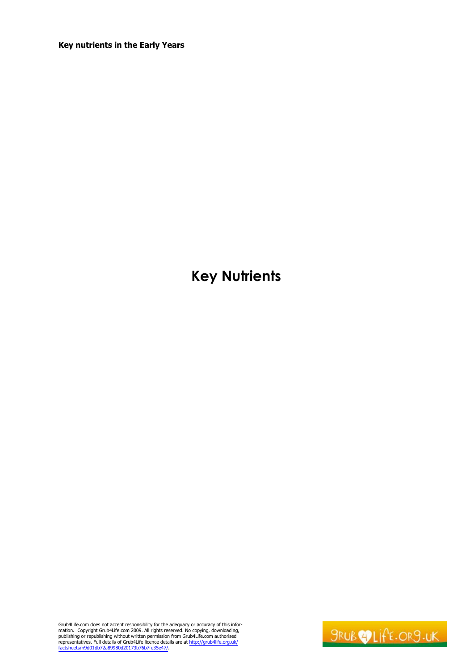# **Key Nutrients**

Grub4Life.com does not accept responsibility for the adequacy or accuracy of this information. Copyright Grub4Life.com 2009. All rights reserved. No copying, downloading, publishing or republishing without written permissi

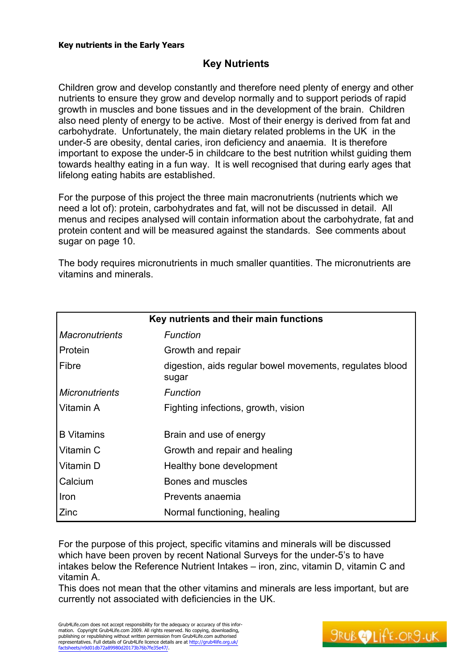# **Key Nutrients**

Children grow and develop constantly and therefore need plenty of energy and other nutrients to ensure they grow and develop normally and to support periods of rapid growth in muscles and bone tissues and in the development of the brain. Children also need plenty of energy to be active. Most of their energy is derived from fat and carbohydrate. Unfortunately, the main dietary related problems in the UK in the under-5 are obesity, dental caries, iron deficiency and anaemia. It is therefore important to expose the under-5 in childcare to the best nutrition whilst guiding them towards healthy eating in a fun way. It is well recognised that during early ages that lifelong eating habits are established.

For the purpose of this project the three main macronutrients (nutrients which we need a lot of): protein, carbohydrates and fat, will not be discussed in detail. All menus and recipes analysed will contain information about the carbohydrate, fat and protein content and will be measured against the standards. See comments about sugar on page 10.

The body requires micronutrients in much smaller quantities. The micronutrients are vitamins and minerals.

| Key nutrients and their main functions |                                                                   |
|----------------------------------------|-------------------------------------------------------------------|
| <b>Macronutrients</b>                  | Function                                                          |
| Protein                                | Growth and repair                                                 |
| Fibre                                  | digestion, aids regular bowel movements, regulates blood<br>sugar |
| <b>Micronutrients</b>                  | Function                                                          |
| Vitamin A                              | Fighting infections, growth, vision                               |
| <b>B</b> Vitamins                      | Brain and use of energy                                           |
| Vitamin C                              | Growth and repair and healing                                     |
| Vitamin D                              | Healthy bone development                                          |
| Calcium                                | Bones and muscles                                                 |
| Iron                                   | Prevents anaemia                                                  |
| Zinc                                   | Normal functioning, healing                                       |

For the purpose of this project, specific vitamins and minerals will be discussed which have been proven by recent National Surveys for the under-5's to have intakes below the Reference Nutrient Intakes - iron, zinc, vitamin D, vitamin C and vitamin A.

This does not mean that the other vitamins and minerals are less important, but are currently not associated with deficiencies in the UK.

Grub4Life.com does not accept responsibility for the adequacy or accuracy of this information. Copyright Grub4Life.com 2009. All rights reserved. No copying, downloading, publishing or republishing without written permission from Grub4Life.com authorised representatives. Full details of Grub4Life licence details are at <http://grub4life.org.uk/> factsheets/n9d01db72a89980d20173b76b7fe35e47/.

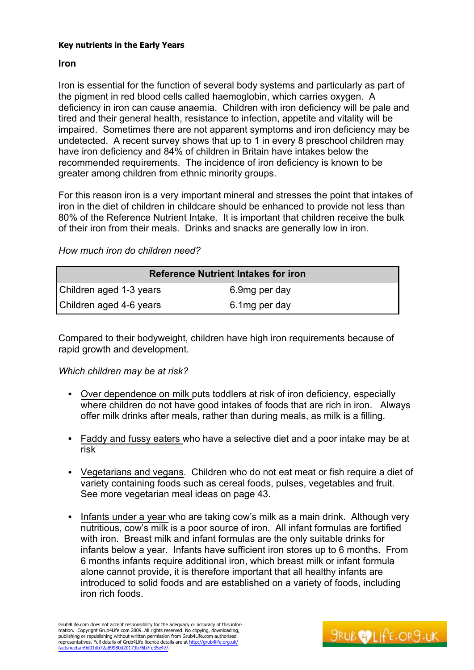## **Iron**

Iron is essential for the function of several body systems and particularly as part of the pigment in red blood cells called haemoglobin, which carries oxygen. A deficiency in iron can cause anaemia. Children with iron deficiency will be pale and tired and their general health, resistance to infection, appetite and vitality will be impaired. Sometimes there are not apparent symptoms and iron deficiency may be undetected. A recent survey shows that up to 1 in every 8 preschool children may have iron deficiency and 84% of children in Britain have intakes below the recommended requirements. The incidence of iron deficiency is known to be greater among children from ethnic minority groups.

For this reason iron is a very important mineral and stresses the point that intakes of iron in the diet of children in childcare should be enhanced to provide not less than 80% of the Reference Nutrient Intake. It is important that children receive the bulk of their iron from their meals. Drinks and snacks are generally low in iron.

## *How much iron do children need?*

| <b>Reference Nutrient Intakes for iron</b> |                |  |
|--------------------------------------------|----------------|--|
| Children aged 1-3 years                    | 6.9mg per day  |  |
| Children aged 4-6 years                    | 6.1 mg per day |  |

Compared to their bodyweight, children have high iron requirements because of rapid growth and development.

## *Which children may be at risk?*

- Over dependence on milk puts toddlers at risk of iron deficiency, especially where children do not have good intakes of foods that are rich in iron. Always offer milk drinks after meals, rather than during meals, as milk is a filling.
- Faddy and fussy eaters who have a selective diet and a poor intake may be at risk
- Vegetarians and vegans. Children who do not eat meat or fish require a diet of variety containing foods such as cereal foods, pulses, vegetables and fruit. See more vegetarian meal ideas on page 43.
- Infants under a year who are taking cow's milk as a main drink. Although very nutritious, cow's milk is a poor source of iron. All infant formulas are fortified with iron. Breast milk and infant formulas are the only suitable drinks for infants below a year. Infants have sufficient iron stores up to 6 months. From 6 months infants require additional iron, which breast milk or infant formula alone cannot provide, it is therefore important that all healthy infants are introduced to solid foods and are established on a variety of foods, including iron rich foods.

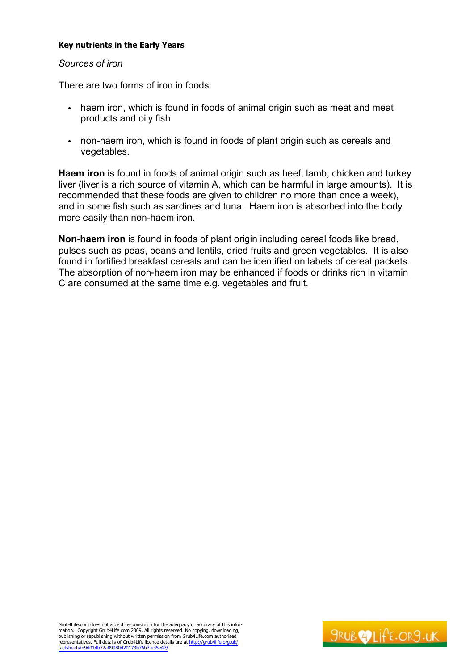### *Sources of iron*

There are two forms of iron in foods:

- haem iron, which is found in foods of animal origin such as meat and meat products and oily fish
- non-haem iron, which is found in foods of plant origin such as cereals and vegetables.

**Haem iron** is found in foods of animal origin such as beef, lamb, chicken and turkey liver (liver is a rich source of vitamin A, which can be harmful in large amounts). It is recommended that these foods are given to children no more than once a week), and in some fish such as sardines and tuna. Haem iron is absorbed into the body more easily than non-haem iron.

**Non-haem iron** is found in foods of plant origin including cereal foods like bread, pulses such as peas, beans and lentils, dried fruits and green vegetables. It is also found in fortified breakfast cereals and can be identified on labels of cereal packets. The absorption of non-haem iron may be enhanced if foods or drinks rich in vitamin C are consumed at the same time e.g. vegetables and fruit.

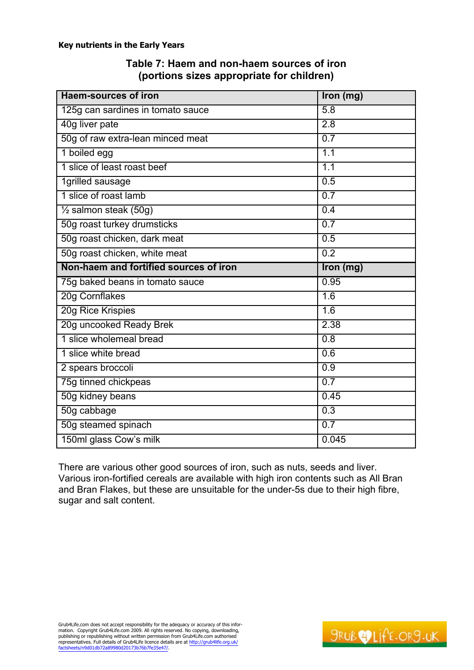| Table 7: Haem and non-haem sources of iron |  |
|--------------------------------------------|--|
| (portions sizes appropriate for children)  |  |

| <b>Haem-sources of iron</b>            | Iron (mg)        |
|----------------------------------------|------------------|
| 125g can sardines in tomato sauce      | 5.8              |
| 40g liver pate                         | $\overline{2.8}$ |
| 50g of raw extra-lean minced meat      | 0.7              |
| 1 boiled egg                           | 1.1              |
| 1 slice of least roast beef            | 1.1              |
| 1grilled sausage                       | 0.5              |
| 1 slice of roast lamb                  | 0.7              |
| $\frac{1}{2}$ salmon steak (50g)       | 0.4              |
| 50g roast turkey drumsticks            | 0.7              |
| 50g roast chicken, dark meat           | 0.5              |
| 50g roast chicken, white meat          | $\overline{0.2}$ |
| Non-haem and fortified sources of iron | Iron (mg)        |
| 75g baked beans in tomato sauce        | 0.95             |
| 20g Cornflakes                         | 1.6              |
| 20g Rice Krispies                      | 1.6              |
| 20g uncooked Ready Brek                | 2.38             |
| 1 slice wholemeal bread                | $\overline{0.8}$ |
| 1 slice white bread                    | 0.6              |
| 2 spears broccoli                      | $\overline{0.9}$ |
| 75g tinned chickpeas                   | 0.7              |
| 50g kidney beans                       | 0.45             |
| 50g cabbage                            | 0.3              |
| 50g steamed spinach                    | 0.7              |
| 150ml glass Cow's milk                 | 0.045            |

There are various other good sources of iron, such as nuts, seeds and liver. Various iron-fortified cereals are available with high iron contents such as All Bran and Bran Flakes, but these are unsuitable for the under-5s due to their high fibre, sugar and salt content.

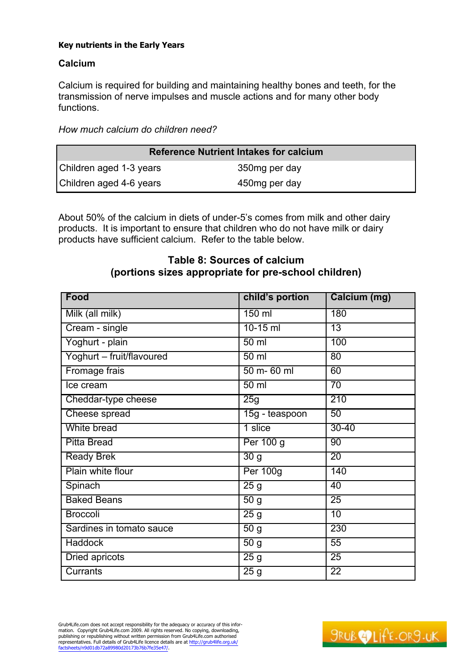# **Calcium**

Calcium is required for building and maintaining healthy bones and teeth, for the transmission of nerve impulses and muscle actions and for many other body functions.

*How much calcium do children need?*

| <b>Reference Nutrient Intakes for calcium</b> |                |  |
|-----------------------------------------------|----------------|--|
| Children aged 1-3 years                       | 350mg per day  |  |
| Children aged 4-6 years                       | 450 mg per day |  |

About 50% of the calcium in diets of under-5's comes from milk and other dairy products. It is important to ensure that children who do not have milk or dairy products have sufficient calcium. Refer to the table below.

# **Table 8: Sources of calcium (portions sizes appropriate for pre-school children)**

| Food                      | child's portion   | Calcium (mg)    |
|---------------------------|-------------------|-----------------|
| Milk (all milk)           | 150 ml            | 180             |
| Cream - single            | $10-15$ ml        | $\overline{13}$ |
| Yoghurt - plain           | $50 \mathrm{m}$   | 100             |
| Yoghurt - fruit/flavoured | $50 \mathrm{m}$   | 80              |
| Fromage frais             | 50 m- 60 ml       | 60              |
| Ice cream                 | $50 \mathrm{m}$   | $\overline{70}$ |
| Cheddar-type cheese       | 25g               | 210             |
| Cheese spread             | 15g - teaspoon    | 50              |
| White bread               | 1 slice           | $30 - 40$       |
| <b>Pitta Bread</b>        | Per 100 g         | $\overline{90}$ |
| <b>Ready Brek</b>         | $\overline{3}0$ g | $\overline{20}$ |
| Plain white flour         | <b>Per 100g</b>   | 140             |
| Spinach                   | $\overline{25}$ g | 40              |
| <b>Baked Beans</b>        | $\overline{50}$ g | $\overline{25}$ |
| <b>Broccoli</b>           | 25g               | $\overline{10}$ |
| Sardines in tomato sauce  | 50g               | 230             |
| <b>Haddock</b>            | $\overline{50}$ g | 55              |
| <b>Dried apricots</b>     | 25g               | 25              |
| <b>Currants</b>           | $\overline{25}$ g | $\overline{22}$ |

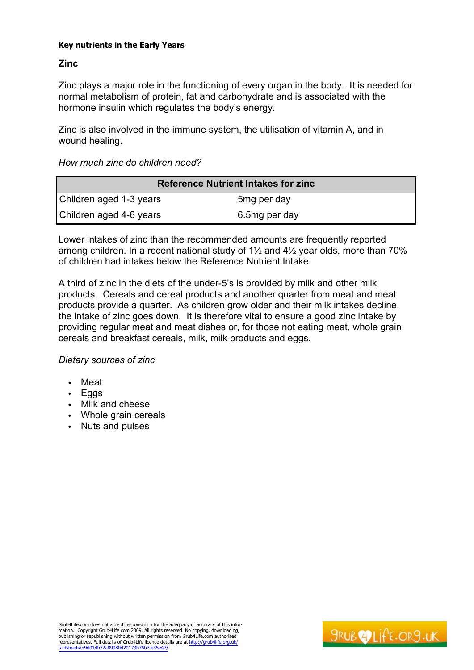# **Zinc**

Zinc plays a major role in the functioning of every organ in the body. It is needed for normal metabolism of protein, fat and carbohydrate and is associated with the hormone insulin which regulates the body's energy.

Zinc is also involved in the immune system, the utilisation of vitamin A, and in wound healing.

*How much zinc do children need?*

| <b>Reference Nutrient Intakes for zinc</b> |                         |  |
|--------------------------------------------|-------------------------|--|
| Children aged 1-3 years                    | 5 <sub>mg</sub> per day |  |
| Children aged 4-6 years                    | 6.5mg per day           |  |

Lower intakes of zinc than the recommended amounts are frequently reported among children. In a recent national study of 1½ and 4½ year olds, more than 70% of children had intakes below the Reference Nutrient Intake.

A third of zinc in the diets of the under-5's is provided by milk and other milk products. Cereals and cereal products and another quarter from meat and meat products provide a quarter. As children grow older and their milk intakes decline, the intake of zinc goes down. It is therefore vital to ensure a good zinc intake by providing regular meat and meat dishes or, for those not eating meat, whole grain cereals and breakfast cereals, milk, milk products and eggs.

## *Dietary sources of zinc*

- Meat
- Eggs
- Milk and cheese
- Whole grain cereals
- Nuts and pulses

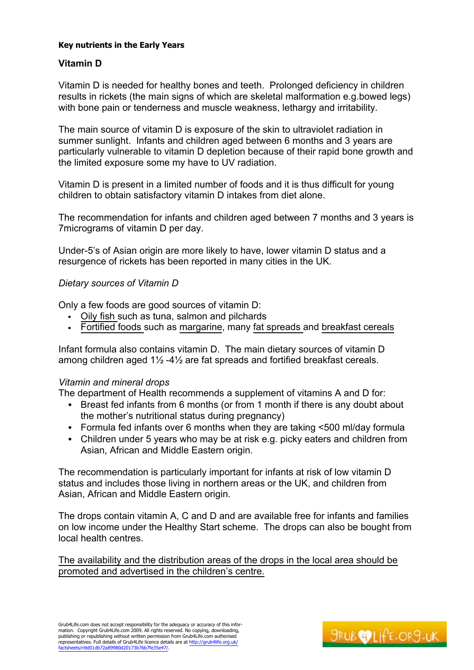# **Vitamin D**

Vitamin D is needed for healthy bones and teeth. Prolonged deficiency in children results in rickets (the main signs of which are skeletal malformation e.g.bowed legs) with bone pain or tenderness and muscle weakness, lethargy and irritability.

The main source of vitamin D is exposure of the skin to ultraviolet radiation in summer sunlight. Infants and children aged between 6 months and 3 years are particularly vulnerable to vitamin D depletion because of their rapid bone growth and the limited exposure some my have to UV radiation.

Vitamin D is present in a limited number of foods and it is thus difficult for young children to obtain satisfactory vitamin D intakes from diet alone.

The recommendation for infants and children aged between 7 months and 3 years is 7micrograms of vitamin D per day.

Under-5's of Asian origin are more likely to have, lower vitamin D status and a resurgence of rickets has been reported in many cities in the UK.

#### *Dietary sources of Vitamin D*

Only a few foods are good sources of vitamin D:

- Oily fish such as tuna, salmon and pilchards
- Fortified foods such as margarine, many fat spreads and breakfast cereals

Infant formula also contains vitamin D. The main dietary sources of vitamin D among children aged 1½ -4½ are fat spreads and fortified breakfast cereals.

#### *Vitamin and mineral drops*

The department of Health recommends a supplement of vitamins A and D for:

- Breast fed infants from 6 months (or from 1 month if there is any doubt about the mother's nutritional status during pregnancy)
- Formula fed infants over 6 months when they are taking <500 ml/day formula
- Children under 5 years who may be at risk e.g. picky eaters and children from Asian, African and Middle Eastern origin.

The recommendation is particularly important for infants at risk of low vitamin D status and includes those living in northern areas or the UK, and children from Asian, African and Middle Eastern origin.

The drops contain vitamin A, C and D and are available free for infants and families on low income under the Healthy Start scheme. The drops can also be bought from local health centres.

The availability and the distribution areas of the drops in the local area should be promoted and advertised in the children's centre.